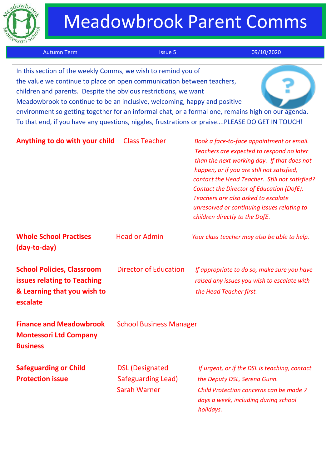

# Meadowbrook Parent Comms

| <b>Autumn Term</b>                                                                                                                                                                                                                                                                                                                                                                                                                                                                              | <b>Issue 5</b>                                               | 09/10/2020                                                                                                                                                                                                                                                                                                                                                                                                 |
|-------------------------------------------------------------------------------------------------------------------------------------------------------------------------------------------------------------------------------------------------------------------------------------------------------------------------------------------------------------------------------------------------------------------------------------------------------------------------------------------------|--------------------------------------------------------------|------------------------------------------------------------------------------------------------------------------------------------------------------------------------------------------------------------------------------------------------------------------------------------------------------------------------------------------------------------------------------------------------------------|
| In this section of the weekly Comms, we wish to remind you of<br>the value we continue to place on open communication between teachers,<br>children and parents. Despite the obvious restrictions, we want<br>Meadowbrook to continue to be an inclusive, welcoming, happy and positive<br>environment so getting together for an informal chat, or a formal one, remains high on our agenda.<br>To that end, if you have any questions, niggles, frustrations or praisePLEASE DO GET IN TOUCH! |                                                              |                                                                                                                                                                                                                                                                                                                                                                                                            |
| Anything to do with your child                                                                                                                                                                                                                                                                                                                                                                                                                                                                  | <b>Class Teacher</b>                                         | Book a face-to-face appointment or email.<br>Teachers are expected to respond no later<br>than the next working day. If that does not<br>happen, or if you are still not satisfied,<br>contact the Head Teacher. Still not satisfied?<br>Contact the Director of Education (DofE).<br>Teachers are also asked to escalate<br>unresolved or continuing issues relating to<br>children directly to the DofE. |
| <b>Whole School Practises</b><br>(day-to-day)                                                                                                                                                                                                                                                                                                                                                                                                                                                   | <b>Head or Admin</b>                                         | Your class teacher may also be able to help.                                                                                                                                                                                                                                                                                                                                                               |
| <b>School Policies, Classroom</b><br>issues relating to Teaching<br>& Learning that you wish to<br>escalate                                                                                                                                                                                                                                                                                                                                                                                     | <b>Director of Education</b>                                 | If appropriate to do so, make sure you have<br>raised any issues you wish to escalate with<br>the Head Teacher first.                                                                                                                                                                                                                                                                                      |
| <b>Finance and Meadowbrook</b><br><b>Montessori Ltd Company</b><br><b>Business</b>                                                                                                                                                                                                                                                                                                                                                                                                              | <b>School Business Manager</b>                               |                                                                                                                                                                                                                                                                                                                                                                                                            |
| <b>Safeguarding or Child</b><br><b>Protection issue</b>                                                                                                                                                                                                                                                                                                                                                                                                                                         | <b>DSL (Designated</b><br>Safeguarding Lead)<br>Sarah Warner | If urgent, or if the DSL is teaching, contact<br>the Deputy DSL, Serena Gunn.<br>Child Protection concerns can be made 7<br>days a week, including during school<br>holidays.                                                                                                                                                                                                                              |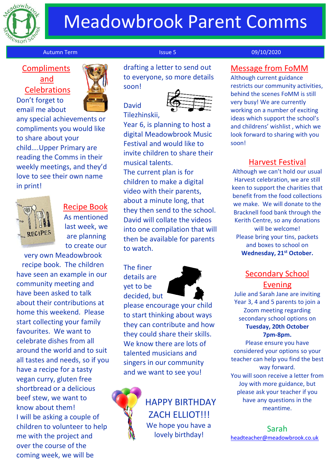

# Meadowbrook Parent Comms

### Autumn Term Issue 5 09/10/2020

# and **Celebrations** Don't forget to

email me about



any special achievements or compliments you would like to share about your child….Upper Primary are reading the Comms in their weekly meetings, and they'd love to see their own name in print!



Recipe Book As mentioned last week, we are planning to create our

very own Meadowbrook recipe book. The children have seen an example in our community meeting and have been asked to talk about their contributions at home this weekend. Please start collecting your family favourites. We want to celebrate dishes from all around the world and to suit all tastes and needs, so if you have a recipe for a tasty vegan curry, gluten free shortbread or a delicious beef stew, we want to know about them! I will be asking a couple of children to volunteer to help me with the project and over the course of the coming week, we will be

Compliments **Compliments Compliments** to everyone, so more details soon!

David



Tilezhinskii,

Year 6, is planning to host a digital Meadowbrook Music Festival and would like to invite children to share their musical talents. The current plan is for children to make a digital video with their parents, about a minute long, that they then send to the school. David will collate the videos into one compilation that will then be available for parents to watch.

The finer details are yet to be decided, but



please encourage your child to start thinking about ways they can contribute and how they could share their skills. We know there are lots of talented musicians and singers in our community and we want to see you!



HAPPY BIRTHDAY ZACH ELLIOT!!! We hope you have a lovely birthday!

### Message from FoMM

Although current guidance restricts our community activities, behind the scenes FoMM is still very busy! We are currently working on a number of exciting ideas which support the school's and childrens' wishlist , which we look forward to sharing with you soon!

## Harvest Festival

Although we can't hold our usual Harvest celebration, we are still keen to support the charities that benefit from the food collections we make. We will donate to the Bracknell food bank through the Kerith Centre, so any donations will be welcome! Please bring your tins, packets and boxes to school on **Wednesday, 21st October.**

## Secondary School Evening

Julie and Sarah Jane are inviting Year 3, 4 and 5 parents to join a Zoom meeting regarding secondary school options on **Tuesday, 20th October 7pm-8pm.**

Please ensure you have considered your options so your teacher can help you find the best way forward.

You will soon receive a letter from Joy with more guidance, but please ask your teacher if you have any questions in the meantime.

Sarah [headteacher@meadowbrook.co.uk](mailto:headteacher@meadowbrook.co.uk)